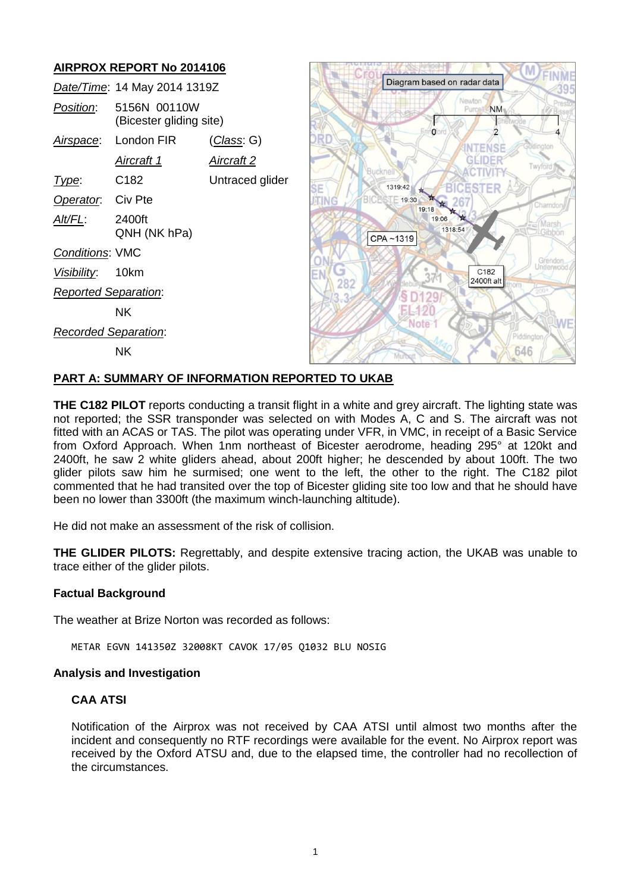# **AIRPROX REPORT No 2014106**

|                             | Date/Time: 14 May 2014 1319Z            |                   |
|-----------------------------|-----------------------------------------|-------------------|
| <i>Position:</i>            | 5156N 00110W<br>(Bicester gliding site) |                   |
|                             | Airspace: London FIR                    | (Class: G)        |
|                             | Aircraft 1                              | <u>Aircraft 2</u> |
| l ype:                      | C182                                    | Untraced glider   |
| Operator. Civ Pte           |                                         |                   |
| Alt/FL:                     | 2400ft<br>QNH (NK hPa)                  |                   |
| <b>Conditions: VMC</b>      |                                         |                   |
| Visibility: 10km            |                                         |                   |
| <b>Reported Separation:</b> |                                         |                   |
|                             | ΝK                                      |                   |
| Recorded Separation:        |                                         |                   |
|                             | NΚ                                      |                   |



### **PART A: SUMMARY OF INFORMATION REPORTED TO UKAB**

**THE C182 PILOT** reports conducting a transit flight in a white and grey aircraft. The lighting state was not reported; the SSR transponder was selected on with Modes A, C and S. The aircraft was not fitted with an ACAS or TAS. The pilot was operating under VFR, in VMC, in receipt of a Basic Service from Oxford Approach. When 1nm northeast of Bicester aerodrome, heading 295° at 120kt and 2400ft, he saw 2 white gliders ahead, about 200ft higher; he descended by about 100ft. The two glider pilots saw him he surmised; one went to the left, the other to the right. The C182 pilot commented that he had transited over the top of Bicester gliding site too low and that he should have been no lower than 3300ft (the maximum winch-launching altitude).

He did not make an assessment of the risk of collision.

**THE GLIDER PILOTS:** Regrettably, and despite extensive tracing action, the UKAB was unable to trace either of the glider pilots.

### **Factual Background**

The weather at Brize Norton was recorded as follows:

METAR EGVN 141350Z 32008KT CAVOK 17/05 Q1032 BLU NOSIG

### **Analysis and Investigation**

### **CAA ATSI**

Notification of the Airprox was not received by CAA ATSI until almost two months after the incident and consequently no RTF recordings were available for the event. No Airprox report was received by the Oxford ATSU and, due to the elapsed time, the controller had no recollection of the circumstances.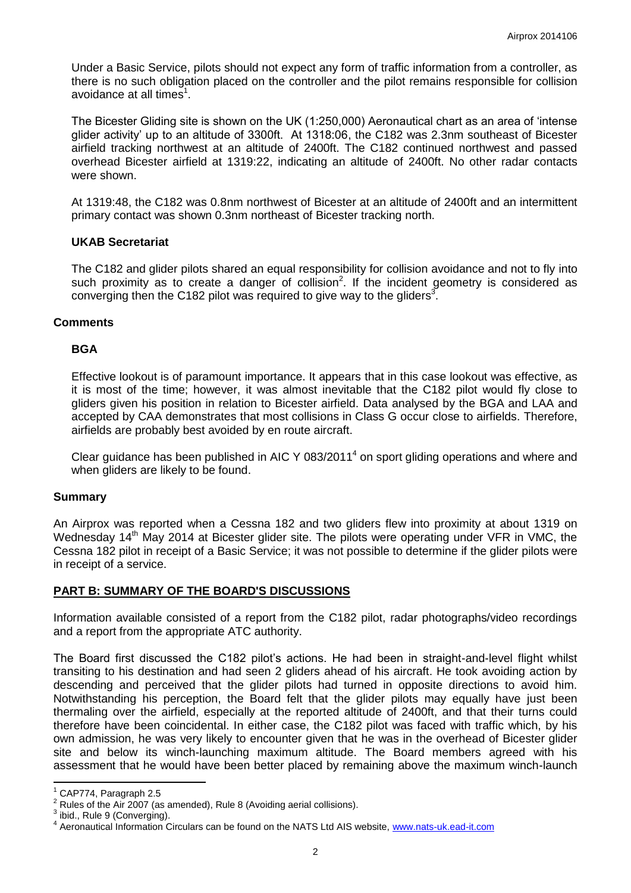Under a Basic Service, pilots should not expect any form of traffic information from a controller, as there is no such obligation placed on the controller and the pilot remains responsible for collision avoidance at all times<sup>1</sup>.

The Bicester Gliding site is shown on the UK (1:250,000) Aeronautical chart as an area of 'intense glider activity' up to an altitude of 3300ft. At 1318:06, the C182 was 2.3nm southeast of Bicester airfield tracking northwest at an altitude of 2400ft. The C182 continued northwest and passed overhead Bicester airfield at 1319:22, indicating an altitude of 2400ft. No other radar contacts were shown.

At 1319:48, the C182 was 0.8nm northwest of Bicester at an altitude of 2400ft and an intermittent primary contact was shown 0.3nm northeast of Bicester tracking north.

### **UKAB Secretariat**

The C182 and glider pilots shared an equal responsibility for collision avoidance and not to fly into such proximity as to create a danger of collision<sup>2</sup>. If the incident geometry is considered as converging then the C182 pilot was required to give way to the gliders<sup>3</sup>.

### **Comments**

### **BGA**

Effective lookout is of paramount importance. It appears that in this case lookout was effective, as it is most of the time; however, it was almost inevitable that the C182 pilot would fly close to gliders given his position in relation to Bicester airfield. Data analysed by the BGA and LAA and accepted by CAA demonstrates that most collisions in Class G occur close to airfields. Therefore, airfields are probably best avoided by en route aircraft.

Clear guidance has been published in AIC Y 083/2011<sup>4</sup> on sport gliding operations and where and when gliders are likely to be found.

### **Summary**

An Airprox was reported when a Cessna 182 and two gliders flew into proximity at about 1319 on Wednesday 14<sup>th</sup> May 2014 at Bicester glider site. The pilots were operating under VFR in VMC, the Cessna 182 pilot in receipt of a Basic Service; it was not possible to determine if the glider pilots were in receipt of a service.

## **PART B: SUMMARY OF THE BOARD'S DISCUSSIONS**

Information available consisted of a report from the C182 pilot, radar photographs/video recordings and a report from the appropriate ATC authority.

The Board first discussed the C182 pilot's actions. He had been in straight-and-level flight whilst transiting to his destination and had seen 2 gliders ahead of his aircraft. He took avoiding action by descending and perceived that the glider pilots had turned in opposite directions to avoid him. Notwithstanding his perception, the Board felt that the glider pilots may equally have just been thermaling over the airfield, especially at the reported altitude of 2400ft, and that their turns could therefore have been coincidental. In either case, the C182 pilot was faced with traffic which, by his own admission, he was very likely to encounter given that he was in the overhead of Bicester glider site and below its winch-launching maximum altitude. The Board members agreed with his assessment that he would have been better placed by remaining above the maximum winch-launch

 $\overline{a}$ 

 $1$  CAP774, Paragraph 2.5

<sup>2</sup> Rules of the Air 2007 (as amended), Rule 8 (Avoiding aerial collisions).

 $3$  ibid., Rule 9 (Converging).

<sup>&</sup>lt;sup>4</sup> Aeronautical Information Circulars can be found on the NATS Ltd AIS website, [www.nats-uk.ead-it.com](http://www.nats-uk.ead-it.com/)